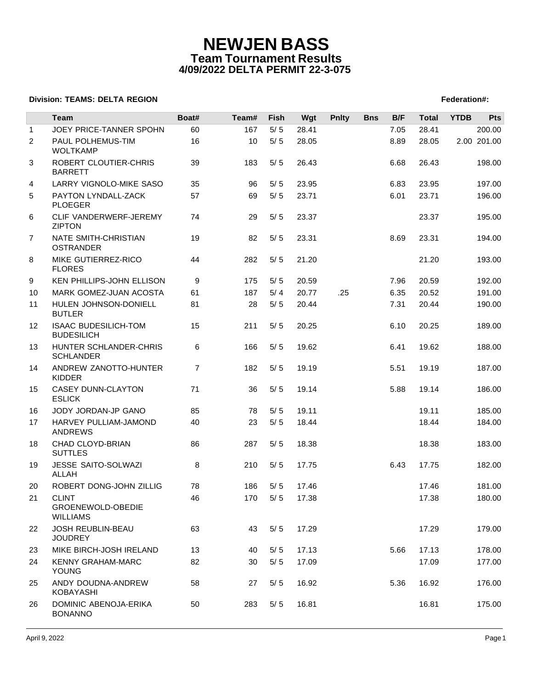### **Division: TEAMS: DELTA REGION FEDERATION FEDERATION: A PROPERTY REGION FEDERATION: TEAMS: DELTA REGION**

|              | Team                                                 | Boat#          | Team# | <b>Fish</b>  | Wgt         | <b>Pnlty</b> | <b>Bns</b> | B/F          | <b>Total</b> | <b>YTDB</b> | Pts                   |
|--------------|------------------------------------------------------|----------------|-------|--------------|-------------|--------------|------------|--------------|--------------|-------------|-----------------------|
| $\mathbf{1}$ | JOEY PRICE-TANNER SPOHN                              | 60<br>16       | 167   | 5/5<br>$5/5$ | 28.41       |              |            | 7.05<br>8.89 | 28.41        |             | 200.00<br>2.00 201.00 |
| 2            | PAUL POLHEMUS-TIM<br><b>WOLTKAMP</b>                 |                | 10    |              | 28.05       |              |            |              | 28.05        |             |                       |
| 3            | ROBERT CLOUTIER-CHRIS<br><b>BARRETT</b>              | 39             | 183   | 5/5          | 26.43       |              |            | 6.68         | 26.43        |             | 198.00                |
| 4            | <b>LARRY VIGNOLO-MIKE SASO</b>                       | 35             | 96    | 5/5          | 23.95       |              |            | 6.83         | 23.95        |             | 197.00                |
| 5            | PAYTON LYNDALL-ZACK<br><b>PLOEGER</b>                | 57             | 69    | 5/5          | 23.71       |              |            | 6.01         | 23.71        |             | 196.00                |
| 6            | CLIF VANDERWERF-JEREMY<br><b>ZIPTON</b>              | 74             | 29    | 5/5          | 23.37       |              |            |              | 23.37        |             | 195.00                |
| 7            | NATE SMITH-CHRISTIAN<br><b>OSTRANDER</b>             | 19             | 82    | 5/5          | 23.31       |              |            | 8.69         | 23.31        |             | 194.00                |
| 8            | MIKE GUTIERREZ-RICO<br><b>FLORES</b>                 | 44             | 282   | 5/5          | 21.20       |              |            |              | 21.20        |             | 193.00                |
| 9            | <b>KEN PHILLIPS-JOHN ELLISON</b>                     | 9              | 175   | 5/5          | 20.59       |              |            | 7.96         | 20.59        |             | 192.00                |
| 10           | MARK GOMEZ-JUAN ACOSTA                               | 61             | 187   | 5/4          | 20.77       | .25          |            | 6.35         | 20.52        |             | 191.00                |
| 11           | HULEN JOHNSON-DONIELL<br><b>BUTLER</b>               | 81             | 28    | 5/5          | 20.44       |              |            | 7.31         | 20.44        |             | 190.00                |
| 12           | <b>ISAAC BUDESILICH-TOM</b><br><b>BUDESILICH</b>     | 15             | 211   | $5/5$        | 20.25       |              |            | 6.10         | 20.25        |             | 189.00                |
| 13           | HUNTER SCHLANDER-CHRIS<br><b>SCHLANDER</b>           | 6              | 166   | $5/5$        | 19.62       |              |            | 6.41         | 19.62        |             | 188.00                |
| 14           | ANDREW ZANOTTO-HUNTER<br><b>KIDDER</b>               | $\overline{7}$ | 182   | $5/5$        | 19.19       |              |            | 5.51         | 19.19        |             | 187.00                |
| 15           | CASEY DUNN-CLAYTON<br><b>ESLICK</b>                  | 71             | 36    | $5/5$        | 19.14       |              |            | 5.88         | 19.14        |             | 186.00                |
| 16           | JODY JORDAN-JP GANO                                  | 85             | 78    | 5/5          | 19.11       |              |            |              | 19.11        |             | 185.00                |
| 17           | HARVEY PULLIAM-JAMOND<br><b>ANDREWS</b>              | 40             | 23    | 5/5          | 18.44       |              |            |              | 18.44        |             | 184.00                |
| 18           | CHAD CLOYD-BRIAN<br><b>SUTTLES</b>                   | 86             | 287   | $5/5$        | 18.38       |              |            |              | 18.38        |             | 183.00                |
| 19           | JESSE SAITO-SOLWAZI<br><b>ALLAH</b>                  | 8              | 210   | $5/5$        | 17.75       |              |            | 6.43         | 17.75        |             | 182.00                |
| 20           | ROBERT DONG-JOHN ZILLIG                              | 78             | 186   | 5/5          | 17.46       |              |            |              | 17.46        |             | 181.00                |
| 21           | <b>CLINT</b><br>GROENEWOLD-OBEDIE<br><b>WILLIAMS</b> | 46             | 170   |              | $5/5$ 17.38 |              |            |              | 17.38        |             | 180.00                |
| 22           | <b>JOSH REUBLIN-BEAU</b><br><b>JOUDREY</b>           | 63             | 43    | 5/5          | 17.29       |              |            |              | 17.29        |             | 179.00                |
| 23           | MIKE BIRCH-JOSH IRELAND                              | 13             | 40    | 5/5          | 17.13       |              |            | 5.66         | 17.13        |             | 178.00                |
| 24           | <b>KENNY GRAHAM-MARC</b><br>YOUNG                    | 82             | 30    | 5/5          | 17.09       |              |            |              | 17.09        |             | 177.00                |
| 25           | ANDY DOUDNA-ANDREW<br>KOBAYASHI                      | 58             | 27    | 5/5          | 16.92       |              |            | 5.36         | 16.92        |             | 176.00                |
| 26           | DOMINIC ABENOJA-ERIKA<br><b>BONANNO</b>              | 50             | 283   | 5/5          | 16.81       |              |            |              | 16.81        |             | 175.00                |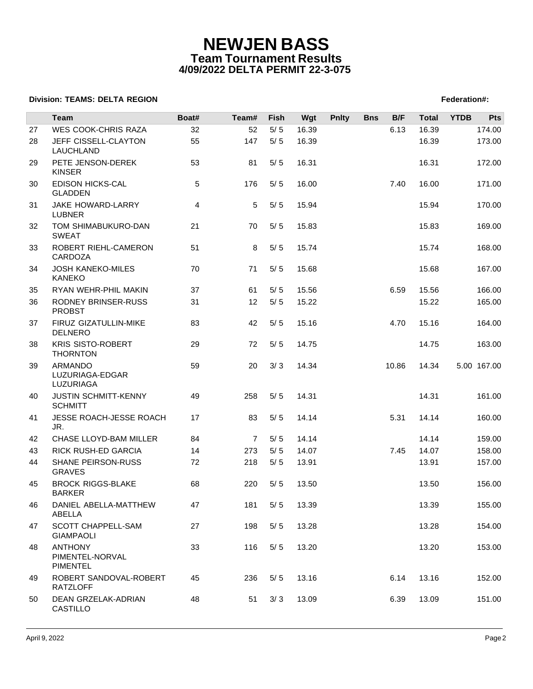### **Division: TEAMS: DELTA REGION FEDERATION FEDERATION: A PROPERTY REGION FEDERATION: TEAMS: DELTA REGION**

|    | <b>Team</b>                                          | Boat# | Team#          | Fish  | Wgt   | <b>Pnlty</b> | <b>Bns</b> | B/F   | <b>Total</b> | <b>YTDB</b> | <b>Pts</b>  |
|----|------------------------------------------------------|-------|----------------|-------|-------|--------------|------------|-------|--------------|-------------|-------------|
| 27 | WES COOK-CHRIS RAZA                                  | 32    | 52             | $5/5$ | 16.39 |              |            | 6.13  | 16.39        |             | 174.00      |
| 28 | JEFF CISSELL-CLAYTON<br>LAUCHLAND                    | 55    | 147            | $5/5$ | 16.39 |              |            |       | 16.39        |             | 173.00      |
| 29 | PETE JENSON-DEREK<br><b>KINSER</b>                   | 53    | 81             | $5/5$ | 16.31 |              |            |       | 16.31        |             | 172.00      |
| 30 | <b>EDISON HICKS-CAL</b><br><b>GLADDEN</b>            | 5     | 176            | 5/5   | 16.00 |              |            | 7.40  | 16.00        |             | 171.00      |
| 31 | JAKE HOWARD-LARRY<br><b>LUBNER</b>                   | 4     | 5              | $5/5$ | 15.94 |              |            |       | 15.94        |             | 170.00      |
| 32 | TOM SHIMABUKURO-DAN<br><b>SWEAT</b>                  | 21    | 70             | 5/5   | 15.83 |              |            |       | 15.83        |             | 169.00      |
| 33 | ROBERT RIEHL-CAMERON<br>CARDOZA                      | 51    | 8              | 5/5   | 15.74 |              |            |       | 15.74        |             | 168.00      |
| 34 | <b>JOSH KANEKO-MILES</b><br><b>KANEKO</b>            | 70    | 71             | 5/5   | 15.68 |              |            |       | 15.68        |             | 167.00      |
| 35 | RYAN WEHR-PHIL MAKIN                                 | 37    | 61             | 5/5   | 15.56 |              |            | 6.59  | 15.56        |             | 166.00      |
| 36 | RODNEY BRINSER-RUSS<br><b>PROBST</b>                 | 31    | 12             | $5/5$ | 15.22 |              |            |       | 15.22        |             | 165.00      |
| 37 | FIRUZ GIZATULLIN-MIKE<br><b>DELNERO</b>              | 83    | 42             | 5/5   | 15.16 |              |            | 4.70  | 15.16        |             | 164.00      |
| 38 | <b>KRIS SISTO-ROBERT</b><br><b>THORNTON</b>          | 29    | 72             | 5/5   | 14.75 |              |            |       | 14.75        |             | 163.00      |
| 39 | ARMANDO<br>LUZURIAGA-EDGAR<br>LUZURIAGA              | 59    | 20             | 3/3   | 14.34 |              |            | 10.86 | 14.34        |             | 5.00 167.00 |
| 40 | <b>JUSTIN SCHMITT-KENNY</b><br><b>SCHMITT</b>        | 49    | 258            | 5/5   | 14.31 |              |            |       | 14.31        |             | 161.00      |
| 41 | JESSE ROACH-JESSE ROACH<br>JR.                       | 17    | 83             | $5/5$ | 14.14 |              |            | 5.31  | 14.14        |             | 160.00      |
| 42 | CHASE LLOYD-BAM MILLER                               | 84    | $\overline{7}$ | 5/5   | 14.14 |              |            |       | 14.14        |             | 159.00      |
| 43 | RICK RUSH-ED GARCIA                                  | 14    | 273            | 5/5   | 14.07 |              |            | 7.45  | 14.07        |             | 158.00      |
| 44 | SHANE PEIRSON-RUSS<br><b>GRAVES</b>                  | 72    | 218            | $5/5$ | 13.91 |              |            |       | 13.91        |             | 157.00      |
| 45 | <b>BROCK RIGGS-BLAKE</b><br><b>BARKER</b>            | 68    | 220            | 5/5   | 13.50 |              |            |       | 13.50        |             | 156.00      |
| 46 | DANIEL ABELLA-MATTHEW<br>ABELLA                      | 47    | 181            | $5/5$ | 13.39 |              |            |       | 13.39        |             | 155.00      |
| 47 | SCOTT CHAPPELL-SAM<br><b>GIAMPAOLI</b>               | 27    | 198            | 5/5   | 13.28 |              |            |       | 13.28        |             | 154.00      |
| 48 | <b>ANTHONY</b><br>PIMENTEL-NORVAL<br><b>PIMENTEL</b> | 33    | 116            | 5/5   | 13.20 |              |            |       | 13.20        |             | 153.00      |
| 49 | ROBERT SANDOVAL-ROBERT<br><b>RATZLOFF</b>            | 45    | 236            | 5/5   | 13.16 |              |            | 6.14  | 13.16        |             | 152.00      |
| 50 | DEAN GRZELAK-ADRIAN<br>CASTILLO                      | 48    | 51             | 3/3   | 13.09 |              |            | 6.39  | 13.09        |             | 151.00      |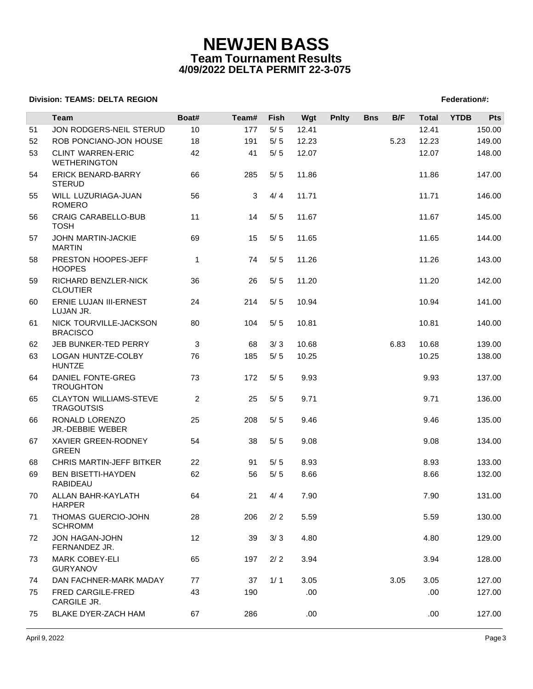### **Division: TEAMS: DELTA REGION FEDERATION FEDERATION: A PROPERTY REGION FEDERATION: TEAMS: DELTA REGION**

|    | Team                                               | Boat#          | Team# | Fish  | Wgt   | <b>Pnlty</b> | <b>Bns</b> | B/F  | <b>Total</b> | <b>YTDB</b> | <b>Pts</b> |
|----|----------------------------------------------------|----------------|-------|-------|-------|--------------|------------|------|--------------|-------------|------------|
| 51 | JON RODGERS-NEIL STERUD                            | 10             | 177   | $5/5$ | 12.41 |              |            |      | 12.41        |             | 150.00     |
| 52 | ROB PONCIANO-JON HOUSE                             | 18             | 191   | $5/5$ | 12.23 |              |            | 5.23 | 12.23        |             | 149.00     |
| 53 | <b>CLINT WARREN-ERIC</b><br><b>WETHERINGTON</b>    | 42             | 41    | $5/5$ | 12.07 |              |            |      | 12.07        |             | 148.00     |
| 54 | <b>ERICK BENARD-BARRY</b><br><b>STERUD</b>         | 66             | 285   | 5/5   | 11.86 |              |            |      | 11.86        |             | 147.00     |
| 55 | WILL LUZURIAGA-JUAN<br><b>ROMERO</b>               | 56             | 3     | 4/4   | 11.71 |              |            |      | 11.71        |             | 146.00     |
| 56 | <b>CRAIG CARABELLO-BUB</b><br><b>TOSH</b>          | 11             | 14    | 5/5   | 11.67 |              |            |      | 11.67        |             | 145.00     |
| 57 | JOHN MARTIN-JACKIE<br><b>MARTIN</b>                | 69             | 15    | 5/5   | 11.65 |              |            |      | 11.65        |             | 144.00     |
| 58 | PRESTON HOOPES-JEFF<br><b>HOOPES</b>               | 1              | 74    | 5/5   | 11.26 |              |            |      | 11.26        |             | 143.00     |
| 59 | RICHARD BENZLER-NICK<br><b>CLOUTIER</b>            | 36             | 26    | 5/5   | 11.20 |              |            |      | 11.20        |             | 142.00     |
| 60 | ERNIE LUJAN III-ERNEST<br>LUJAN JR.                | 24             | 214   | 5/5   | 10.94 |              |            |      | 10.94        |             | 141.00     |
| 61 | NICK TOURVILLE-JACKSON<br><b>BRACISCO</b>          | 80             | 104   | 5/5   | 10.81 |              |            |      | 10.81        |             | 140.00     |
| 62 | JEB BUNKER-TED PERRY                               | 3              | 68    | 3/3   | 10.68 |              |            | 6.83 | 10.68        |             | 139.00     |
| 63 | LOGAN HUNTZE-COLBY<br><b>HUNTZE</b>                | 76             | 185   | 5/5   | 10.25 |              |            |      | 10.25        |             | 138.00     |
| 64 | DANIEL FONTE-GREG<br><b>TROUGHTON</b>              | 73             | 172   | 5/5   | 9.93  |              |            |      | 9.93         |             | 137.00     |
| 65 | <b>CLAYTON WILLIAMS-STEVE</b><br><b>TRAGOUTSIS</b> | $\overline{c}$ | 25    | 5/5   | 9.71  |              |            |      | 9.71         |             | 136.00     |
| 66 | RONALD LORENZO<br>JR.-DEBBIE WEBER                 | 25             | 208   | 5/5   | 9.46  |              |            |      | 9.46         |             | 135.00     |
| 67 | XAVIER GREEN-RODNEY<br><b>GREEN</b>                | 54             | 38    | 5/5   | 9.08  |              |            |      | 9.08         |             | 134.00     |
| 68 | <b>CHRIS MARTIN-JEFF BITKER</b>                    | 22             | 91    | 5/5   | 8.93  |              |            |      | 8.93         |             | 133.00     |
| 69 | <b>BEN BISETTI-HAYDEN</b><br>RABIDEAU              | 62             | 56    | 5/5   | 8.66  |              |            |      | 8.66         |             | 132.00     |
| 70 | ALLAN BAHR-KAYLATH<br><b>HARPER</b>                | 64             | 21    | 4/4   | 7.90  |              |            |      | 7.90         |             | 131.00     |
| 71 | THOMAS GUERCIO-JOHN<br><b>SCHROMM</b>              | 28             | 206   | 2/2   | 5.59  |              |            |      | 5.59         |             | 130.00     |
| 72 | <b>JON HAGAN-JOHN</b><br>FERNANDEZ JR.             | 12             | 39    | 3/3   | 4.80  |              |            |      | 4.80         |             | 129.00     |
| 73 | <b>MARK COBEY-ELI</b><br><b>GURYANOV</b>           | 65             | 197   | 2/2   | 3.94  |              |            |      | 3.94         |             | 128.00     |
| 74 | DAN FACHNER-MARK MADAY                             | 77             | 37    | 1/1   | 3.05  |              |            | 3.05 | 3.05         |             | 127.00     |
| 75 | <b>FRED CARGILE-FRED</b><br>CARGILE JR.            | 43             | 190   |       | .00.  |              |            |      | .00.         |             | 127.00     |
| 75 | BLAKE DYER-ZACH HAM                                | 67             | 286   |       | .00   |              |            |      | .00          |             | 127.00     |